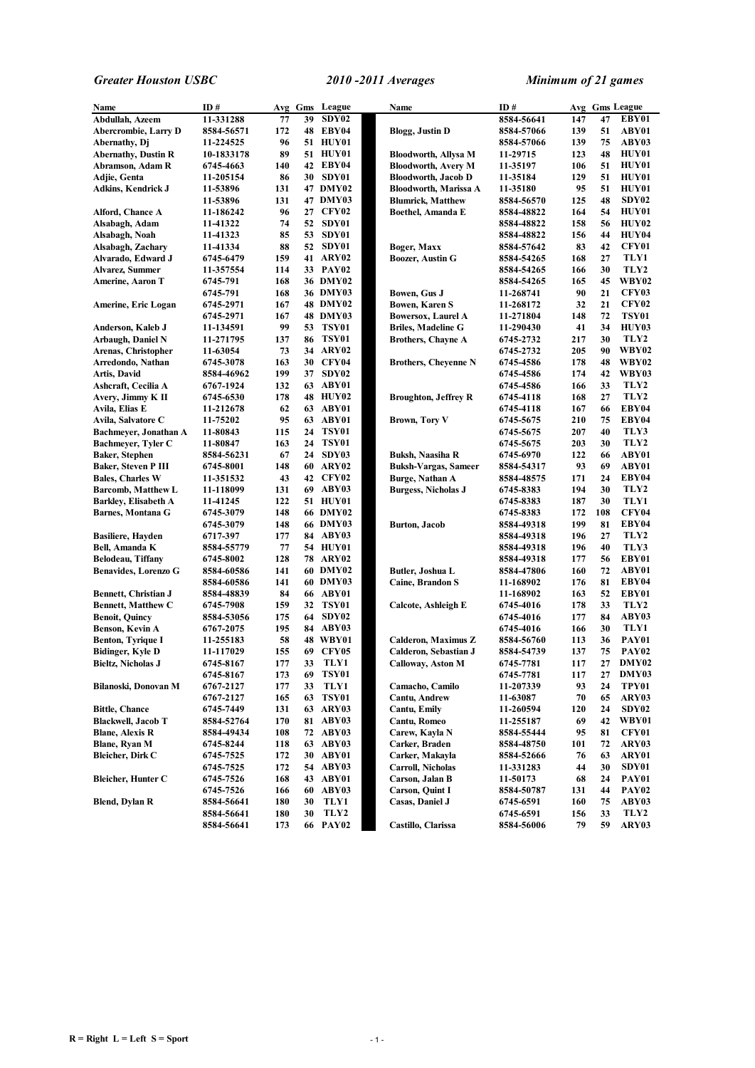| Name                        | ID#        |     |    | Avg Gms League  | Name                        | ID#        |     |     | Avg Gms League    |
|-----------------------------|------------|-----|----|-----------------|-----------------------------|------------|-----|-----|-------------------|
| Abdullah, Azeem             | 11-331288  | 77  | 39 | SDY02           |                             | 8584-56641 | 147 | 47  | EBY01             |
| Abercrombie, Larry D        | 8584-56571 | 172 |    | 48 EBY04        | <b>Blogg, Justin D</b>      | 8584-57066 | 139 | 51  | ABY01             |
| Abernathy, Dj               | 11-224525  | 96  |    | 51 HUY01        |                             | 8584-57066 | 139 | 75  | ABY03             |
| <b>Abernathy, Dustin R</b>  | 10-1833178 | 89  |    | 51 HUY01        | <b>Bloodworth, Allysa M</b> | 11-29715   | 123 | 48  | HUY01             |
| Abramson, Adam R            | 6745-4663  | 140 |    | 42 EBY04        | <b>Bloodworth, Avery M</b>  | 11-35197   | 106 | 51  | HUY01             |
| Adjie, Genta                | 11-205154  | 86  |    | 30 SDY01        | <b>Bloodworth, Jacob D</b>  | 11-35184   | 129 | 51  | HUY01             |
| Adkins, Kendrick J          | 11-53896   | 131 |    | 47 DMY02        | Bloodworth, Marissa A       | 11-35180   | 95  | 51  | HUY01             |
|                             | 11-53896   | 131 |    | 47 DMY03        | <b>Blumrick, Matthew</b>    | 8584-56570 | 125 | 48  | SDY <sub>02</sub> |
| Alford, Chance A            | 11-186242  | 96  |    | 27 CFY02        | Boethel, Amanda E           | 8584-48822 | 164 | 54  | HUY01             |
| Alsabagh, Adam              | 11-41322   | 74  |    | 52 SDY01        |                             | 8584-48822 | 158 | 56  | HUY02             |
| Alsabagh, Noah              | 11-41323   | 85  |    | 53 SDY01        |                             | 8584-48822 | 156 | 44  | HUY04             |
| Alsabagh, Zachary           | 11-41334   | 88  |    | 52 SDY01        | Boger, Maxx                 | 8584-57642 | 83  | 42  | CFY01             |
| Alvarado, Edward J          | 6745-6479  | 159 |    | 41 ARY02        | <b>Boozer, Austin G</b>     | 8584-54265 | 168 | 27  | TLY1              |
| <b>Alvarez, Summer</b>      | 11-357554  | 114 |    | 33 PAY02        |                             | 8584-54265 | 166 | 30  | TLY2              |
| Amerine, Aaron T            | 6745-791   | 168 |    | 36 DMY02        |                             | 8584-54265 | 165 | 45  | WBY02             |
|                             | 6745-791   | 168 |    | 36 DMY03        | Bowen, Gus J                | 11-268741  | 90  | 21  | <b>CFY03</b>      |
| Amerine, Eric Logan         | 6745-2971  | 167 |    | 48 DMY02        | <b>Bowen, Karen S</b>       | 11-268172  | 32  | 21  | <b>CFY02</b>      |
|                             |            | 167 |    | <b>48 DMY03</b> |                             | 11-271804  | 148 | 72  | <b>TSY01</b>      |
|                             | 6745-2971  | 99  | 53 | TSY01           | <b>Bowersox, Laurel A</b>   |            |     | 34  | HUY03             |
| Anderson, Kaleb J           | 11-134591  |     |    |                 | <b>Briles, Madeline G</b>   | 11-290430  | 41  | 30  |                   |
| Arbaugh, Daniel N           | 11-271795  | 137 |    | 86 TSY01        | <b>Brothers, Chayne A</b>   | 6745-2732  | 217 |     | TLY2              |
| Arenas, Christopher         | 11-63054   | 73  |    | 34 ARY02        |                             | 6745-2732  | 205 | 90  | <b>WBY02</b>      |
| Arredondo, Nathan           | 6745-3078  | 163 |    | 30 CFY04        | <b>Brothers, Cheyenne N</b> | 6745-4586  | 178 | 48  | WBY02             |
| Artis, David                | 8584-46962 | 199 |    | 37 SDY02        |                             | 6745-4586  | 174 | 42  | WBY03             |
| Ashcraft, Cecilia A         | 6767-1924  | 132 |    | 63 ABY01        |                             | 6745-4586  | 166 | 33  | TLY2              |
| Avery, Jimmy K II           | 6745-6530  | 178 |    | <b>48 HUY02</b> | <b>Broughton, Jeffrey R</b> | 6745-4118  | 168 | 27  | TLY2              |
| Avila, Elias E              | 11-212678  | 62  |    | 63 ABY01        |                             | 6745-4118  | 167 | 66  | EBY04             |
| Avila, Salvatore C          | 11-75202   | 95  |    | 63 ABY01        | <b>Brown, Tory V</b>        | 6745-5675  | 210 | 75  | EBY04             |
| Bachmeyer, Jonathan A       | 11-80843   | 115 |    | 24 TSY01        |                             | 6745-5675  | 207 | 40  | TLY3              |
| Bachmeyer, Tyler C          | 11-80847   | 163 |    | 24 TSY01        |                             | 6745-5675  | 203 | 30  | TLY2              |
| <b>Baker, Stephen</b>       | 8584-56231 | 67  | 24 | SDY03           | Buksh, Naasiha R            | 6745-6970  | 122 | 66  | ABY01             |
| <b>Baker, Steven P III</b>  | 6745-8001  | 148 |    | 60 ARY02        | <b>Buksh-Vargas, Sameer</b> | 8584-54317 | 93  | 69  | ABY01             |
| <b>Bales, Charles W</b>     | 11-351532  | 43  |    | 42 CFY02        | <b>Burge, Nathan A</b>      | 8584-48575 | 171 | 24  | EBY04             |
| <b>Barcomb, Matthew L</b>   | 11-118099  | 131 |    | 69 ABY03        | <b>Burgess, Nicholas J</b>  | 6745-8383  | 194 | 30  | TLY2              |
| <b>Barkley, Elisabeth A</b> | 11-41245   | 122 |    | 51 HUY01        |                             | 6745-8383  | 187 | 30  | TLY1              |
| <b>Barnes, Montana G</b>    | 6745-3079  | 148 |    | 66 DMY02        |                             | 6745-8383  | 172 | 108 | CFY04             |
|                             | 6745-3079  | 148 |    | 66 DMY03        | <b>Burton</b> , Jacob       | 8584-49318 | 199 | 81  | EBY04             |
| <b>Basiliere, Hayden</b>    | 6717-397   | 177 |    | 84 ABY03        |                             | 8584-49318 | 196 | 27  | TLY2              |
| Bell, Amanda K              | 8584-55779 | 77  |    | 54 HUY01        |                             | 8584-49318 | 196 | 40  | TLY3              |
| Belodeau, Tiffany           | 6745-8002  | 128 |    | <b>78 ARY02</b> |                             | 8584-49318 | 177 | 56  | EBY01             |
| <b>Benavides, Lorenzo G</b> | 8584-60586 | 141 |    | 60 DMY02        | Butler, Joshua L            | 8584-47806 | 160 | 72  | ABY01             |
|                             | 8584-60586 | 141 |    | 60 DMY03        | Caine, Brandon S            | 11-168902  | 176 | 81  | EBY04             |
| <b>Bennett, Christian J</b> | 8584-48839 | 84  |    | 66 ABY01        |                             | 11-168902  | 163 | 52  | EBY01             |
| <b>Bennett, Matthew C</b>   | 6745-7908  | 159 |    | 32 TSY01        | Calcote, Ashleigh E         | 6745-4016  | 178 | 33  | TLY2              |
| <b>Benoit, Quincy</b>       | 8584-53056 | 175 | 64 | SDY02           |                             | 6745-4016  | 177 | 84  | ABY03             |
| Benson, Kevin A             | 6767-2075  | 195 |    | 84 ABY03        |                             | 6745-4016  | 166 | 30  | TLY1              |
| <b>Benton, Tyrique I</b>    | 11-255183  | 58  |    | <b>48 WBY01</b> | Calderon, Maximus Z         | 8584-56760 | 113 | 36  | PAY01             |
| Bidinger, Kyle D            | 11-117029  | 155 | 69 | CFY05           | Calderon, Sebastian J       | 8584-54739 | 137 | 75  | PAY <sub>02</sub> |
| <b>Bieltz, Nicholas J</b>   | 6745-8167  | 177 | 33 | TLY1            | Calloway, Aston M           | 6745-7781  | 117 | 27  | DMY02             |
|                             | 6745-8167  | 173 | 69 | <b>TSY01</b>    |                             | 6745-7781  | 117 | 27  | DMY03             |
| Bilanoski, Donovan M        | 6767-2127  | 177 | 33 | TLY1            | Camacho, Camilo             | 11-207339  | 93  | 24  | TPY01             |
|                             | 6767-2127  | 165 | 63 | <b>TSY01</b>    | Cantu, Andrew               | 11-63087   | 70  | 65  | ARY03             |
| <b>Bittle, Chance</b>       | 6745-7449  | 131 |    | 63 ARY03        | Cantu, Emily                | 11-260594  | 120 | 24  | SDY02             |
| <b>Blackwell, Jacob T</b>   | 8584-52764 | 170 |    | 81 ABY03        | Cantu, Romeo                | 11-255187  | 69  | 42  | <b>WBY01</b>      |
| <b>Blane, Alexis R</b>      | 8584-49434 | 108 |    | 72 ABY03        | Carew, Kayla N              | 8584-55444 | 95  | 81  | CFY01             |
| Blane, Ryan M               | 6745-8244  | 118 | 63 | ABY03           | Carker, Braden              | 8584-48750 | 101 | 72  | ARY03             |
| <b>Bleicher, Dirk C</b>     | 6745-7525  | 172 |    | 30 ABY01        | Carker, Makayla             | 8584-52666 | 76  | 63  | ARY01             |
|                             | 6745-7525  | 172 |    | 54 ABY03        | <b>Carroll, Nicholas</b>    | 11-331283  | 44  | 30  | SDY01             |
| <b>Bleicher, Hunter C</b>   | 6745-7526  | 168 |    | 43 ABY01        | Carson, Jalan B             | 11-50173   | 68  | 24  | PAY01             |
|                             | 6745-7526  | 166 | 60 | ABY03           | <b>Carson, Quint I</b>      | 8584-50787 | 131 | 44  | PAY <sub>02</sub> |
| <b>Blend, Dylan R</b>       | 8584-56641 | 180 | 30 | TLY1            | Casas, Daniel J             | 6745-6591  | 160 | 75  | ABY03             |
|                             | 8584-56641 | 180 | 30 | TLY2            |                             | 6745-6591  | 156 | 33  | TLY2              |
|                             | 8584-56641 | 173 |    | 66 PAY02        | Castillo, Clarissa          | 8584-56006 | 79  | 59  | ARY03             |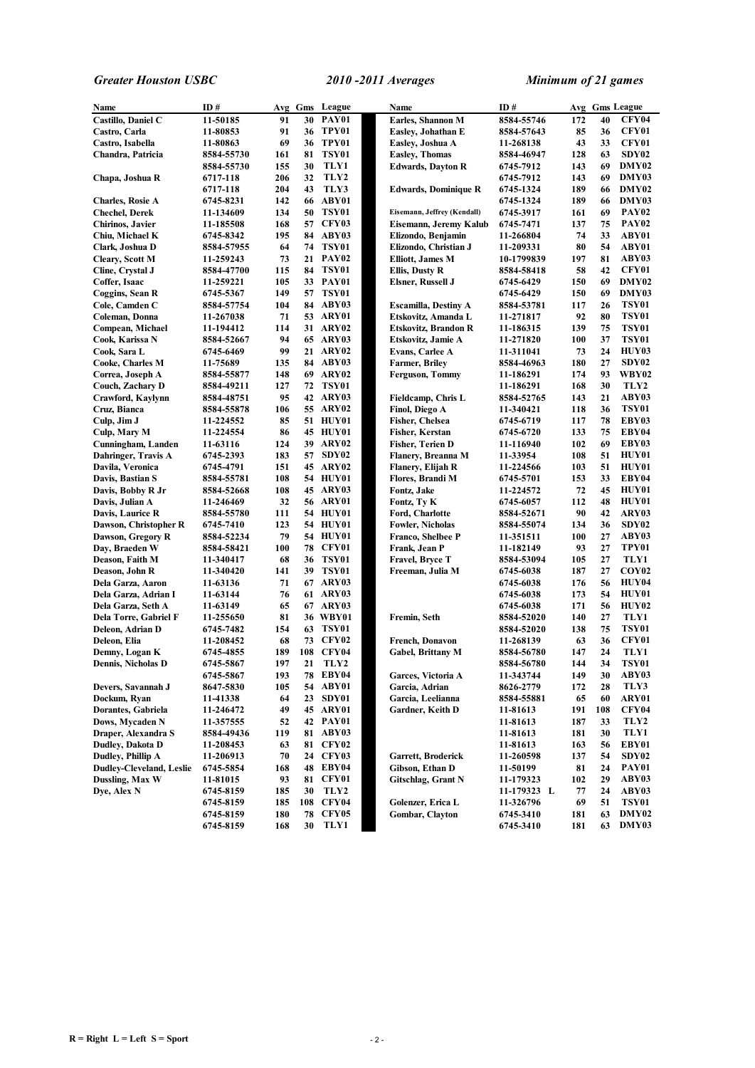| Name                            | ID#                   |     |    | Avg Gms League    | Name                        | ID#                      |     |     | Avg Gms League    |
|---------------------------------|-----------------------|-----|----|-------------------|-----------------------------|--------------------------|-----|-----|-------------------|
| Castillo, Daniel C              | 11-50185              | 91  |    | <b>30 PAY01</b>   | Earles, Shannon M           | 8584-55746               | 172 | 40  | <b>CFY04</b>      |
| Castro, Carla                   | 11-80853              | 91  |    | 36 TPY01          | Easley, Johathan E          | 8584-57643               | 85  | 36  | CFY01             |
| Castro, Isabella                | 11-80863              | 69  |    | 36 TPY01          | Easley, Joshua A            | 11-268138                | 43  | 33  | CFY01             |
| Chandra, Patricia               | 8584-55730            | 161 | 81 | TSY01             | <b>Easley, Thomas</b>       | 8584-46947               | 128 | 63  | SDY02             |
|                                 | 8584-55730            | 155 | 30 | TLY1              | <b>Edwards, Dayton R</b>    | 6745-7912                | 143 | 69  | DMY02             |
| Chapa, Joshua R                 | 6717-118              | 206 | 32 | TLY2              |                             | 6745-7912                | 143 | 69  | DMY03             |
|                                 | 6717-118              | 204 | 43 | TLY3              | <b>Edwards, Dominique R</b> | 6745-1324                | 189 | 66  | DMY02             |
| <b>Charles, Rosie A</b>         | 6745-8231             | 142 |    | 66 ABY01          |                             | 6745-1324                | 189 | 66  | DMY03             |
| <b>Chechel, Derek</b>           | 11-134609             | 134 | 50 | TSY01             | Eisemann, Jeffrey (Kendall) | 6745-3917                | 161 | 69  | PAY <sub>02</sub> |
| <b>Chirinos, Javier</b>         | 11-185508             | 168 |    | 57 CFY03          | Eisemann, Jeremy Kalub      | 6745-7471                | 137 | 75  | PAY <sub>02</sub> |
| Chiu. Michael K                 | 6745-8342             | 195 |    | 84 ABY03          | Elizondo, Benjamin          | 11-266804                | 74  | 33  | ABY01             |
| Clark, Joshua D                 | 8584-57955            | 64  |    | 74 TSY01          | Elizondo, Christian J       | 11-209331                | 80  | 54  | ABY01             |
| <b>Cleary, Scott M</b>          | 11-259243             | 73  |    | 21 PAY02          | Elliott, James M            | 10-1799839               | 197 | 81  | ABY03             |
|                                 | 8584-47700            | 115 |    | <b>84 TSY01</b>   |                             | 8584-58418               | 58  | 42  | CFY01             |
| Cline, Crystal J                |                       | 105 |    | 33 PAY01          | Ellis, Dusty R              |                          | 150 | 69  | DMY02             |
| Coffer, Isaac                   | 11-259221             |     |    |                   | <b>Elsner, Russell J</b>    | 6745-6429                |     |     |                   |
| Coggins, Sean R                 | 6745-5367             | 149 |    | 57 TSY01          |                             | 6745-6429                | 150 | 69  | DMY03             |
| Cole, Camden C                  | 8584-57754            | 104 |    | 84 ABY03          | <b>Escamilla, Destiny A</b> | 8584-53781               | 117 | 26  | TSY01             |
| Coleman, Donna                  | 11-267038             | 71  |    | 53 ARY01          | Etskovitz, Amanda L         | 11-271817                | 92  | 80  | <b>TSY01</b>      |
| Compean, Michael                | 11-194412             | 114 |    | 31 ARY02          | <b>Etskovitz, Brandon R</b> | 11-186315                | 139 | 75  | TSY01             |
| Cook, Karissa N                 | 8584-52667            | 94  |    | <b>65 ARY03</b>   | Etskovitz, Jamie A          | 11-271820                | 100 | 37  | TSY01             |
| Cook, Sara L                    | 6745-6469             | 99  |    | 21 ARY02          | Evans, Carlee A             | 11-311041                | 73  | 24  | HUY03             |
| Cooke, Charles M                | 11-75689              | 135 |    | 84 ABY03          | <b>Farmer, Briley</b>       | 8584-46963               | 180 | 27  | SDY <sub>02</sub> |
| Correa, Joseph A                | 8584-55877            | 148 |    | 69 ARY02          | <b>Ferguson, Tommy</b>      | 11-186291                | 174 | 93  | WBY02             |
| Couch, Zachary D                | 8584-49211            | 127 |    | 72 TSY01          |                             | 11-186291                | 168 | 30  | TLY <sub>2</sub>  |
| Crawford, Kaylynn               | 8584-48751            | 95  |    | 42 ARY03          | Fieldcamp, Chris L          | 8584-52765               | 143 | 21  | ABY03             |
| Cruz, Bianca                    | 8584-55878            | 106 |    | 55 ARY02          | Finol, Diego A              | 11-340421                | 118 | 36  | <b>TSY01</b>      |
| Culp, Jim J                     | 11-224552             | 85  |    | 51 HUY01          | <b>Fisher, Chelsea</b>      | 6745-6719                | 117 | 78  | EBY03             |
| Culp, Mary M                    | 11-224554             | 86  |    | <b>45 HUY01</b>   | <b>Fisher, Kerstan</b>      | 6745-6720                | 133 | 75  | EBY04             |
| Cunningham, Landen              | 11-63116              | 124 |    | 39 ARY02          | <b>Fisher, Terien D</b>     | 11-116940                | 102 | 69  | EBY03             |
| Dahringer, Travis A             | 6745-2393             | 183 | 57 | SDY <sub>02</sub> | Flanery, Breanna M          | 11-33954                 | 108 | 51  | HUY01             |
| Davila, Veronica                | 6745-4791             | 151 |    | <b>45 ARY02</b>   | Flanery, Elijah R           | 11-224566                | 103 | 51  | HUY01             |
| Davis, Bastian S                | 8584-55781            | 108 |    | 54 HUY01          | Flores, Brandi M            | 6745-5701                | 153 | 33  | EBY04             |
| Davis, Bobby R Jr               | 8584-52668            | 108 |    | 45 ARY03          | Fontz, Jake                 | 11-224572                | 72  | 45  | <b>HUY01</b>      |
| Davis, Julian A                 | 11-246469             | 32  |    | <b>56 ARY01</b>   | Fontz, Ty K                 | 6745-6057                | 112 | 48  | HUY01             |
| Davis, Laurice R                | 8584-55780            | 111 |    | 54 HUY01          | Ford, Charlotte             | 8584-52671               | 90  | 42  | ARY03             |
| Dawson, Christopher R           | 6745-7410             | 123 |    | 54 HUY01          | <b>Fowler, Nicholas</b>     | 8584-55074               | 134 | 36  | SDY <sub>02</sub> |
| Dawson, Gregory R               | 8584-52234            | 79  |    | 54 HUY01          | Franco, Shelbee P           | 11-351511                | 100 | 27  | ABY03             |
| Day, Braeden W                  | 8584-58421            | 100 |    | <b>78 CFY01</b>   | Frank, Jean P               | 11-182149                | 93  | 27  | TPY01             |
| Deason, Faith M                 | 11-340417             | 68  |    | 36 TSY01          | Fravel, Bryce T             | 8584-53094               | 105 | 27  | TLY1              |
| Deason, John R                  | 11-340420             | 141 | 39 | TSY01             | Freeman, Julia M            | 6745-6038                | 187 | 27  | COY <sub>02</sub> |
| Dela Garza, Aaron               | 11-63136              | 71  |    | 67 ARY03          |                             | 6745-6038                | 176 | 56  | HUY04             |
| Dela Garza, Adrian I            | 11-63144              | 76  |    | 61 ARY03          |                             | 6745-6038                | 173 | 54  | HUY01             |
| Dela Garza, Seth A              | 11-63149              | 65  |    | 67 ARY03          |                             | 6745-6038                | 171 | 56  | <b>HUY02</b>      |
| Dela Torre, Gabriel F           | 11-255650             | 81  |    | 36 WBY01          | Fremin, Seth                | 8584-52020               | 140 | 27  | TLY1              |
| Deleon, Adrian D                | 6745-7482             | 154 |    | 63 TSY01          |                             | 8584-52020               | 138 | 75  | <b>TSY01</b>      |
| Deleon, Elia                    | 11-208452             | 68  |    | <b>73 CFY02</b>   | French, Donavon             | 11-268139                | 63  | 36  | CFY01             |
| Demny, Logan K                  | 6745-4855             | 189 |    | 108 CFY04         | Gabel, Brittany M           | 8584-56780               | 147 | 24  | TLY1              |
| <b>Dennis, Nicholas D</b>       | 6745-5867             | 197 | 21 | TLY2              |                             | 8584-56780               | 144 | 34  | TSY01             |
|                                 | 6745-5867             | 193 |    | <b>78 EBY04</b>   | Garces, Victoria A          | 11-343744                | 149 | 30  | ABY03             |
| Devers, Savannah J              | 8647-5830             | 105 |    | 54 ABY01          | Garcia, Adrian              | 8626-2779                | 172 | 28  | TLY3              |
| Dockum, Ryan                    | 11-41338              | 64  | 23 | SDY01             | Garcia, Leelianna           | 8584-55881               | 65  | 60  | ARY01             |
| Dorantes, Gabriela              | 11-246472             | 49  |    | 45 ARY01          | Gardner, Keith D            | 11-81613                 | 191 | 108 | <b>CFY04</b>      |
| Dows, Mycaden N                 | 11-357555             | 52  |    | 42 PAY01          |                             | 11-81613                 | 187 | 33  | TLY2              |
| Draper, Alexandra S             | 8584-49436            | 119 |    | 81 ABY03          |                             | 11-81613                 | 181 | 30  | TLY1              |
| Dudley, Dakota D                | 11-208453             | 63  |    | 81 CFY02          |                             | 11-81613                 | 163 | 56  | EBY01             |
| Dudley, Phillip A               | 11-206913             | 70  |    | 24 CFY03          | Garrett, Broderick          | 11-260598                | 137 | 54  | SDY02             |
| <b>Dudley-Cleveland, Leslie</b> | 6745-5854             | 168 |    | 48 EBY04          | Gibson, Ethan D             | 11-50199                 | 81  | 24  | PAY01             |
| Dussling, Max W                 |                       | 93  |    | 81 CFY01          | Gitschlag, Grant N          | 11-179323                | 102 | 29  | ABY03             |
| Dye, Alex N                     | 11-81015<br>6745-8159 | 185 | 30 | TLY2              |                             |                          | 77  | 24  | ABY03             |
|                                 |                       |     |    | 108 CFY04         | Golenzer, Erica L           | 11-179323 L<br>11-326796 | 69  | 51  | <b>TSY01</b>      |
|                                 | 6745-8159             | 185 |    | <b>78 CFY05</b>   |                             |                          |     | 63  | DMY02             |
|                                 | 6745-8159             | 180 | 30 | TLY1              | Gombar, Clayton             | 6745-3410                | 181 | 63  |                   |
|                                 | 6745-8159             | 168 |    |                   |                             | 6745-3410                | 181 |     | DMY03             |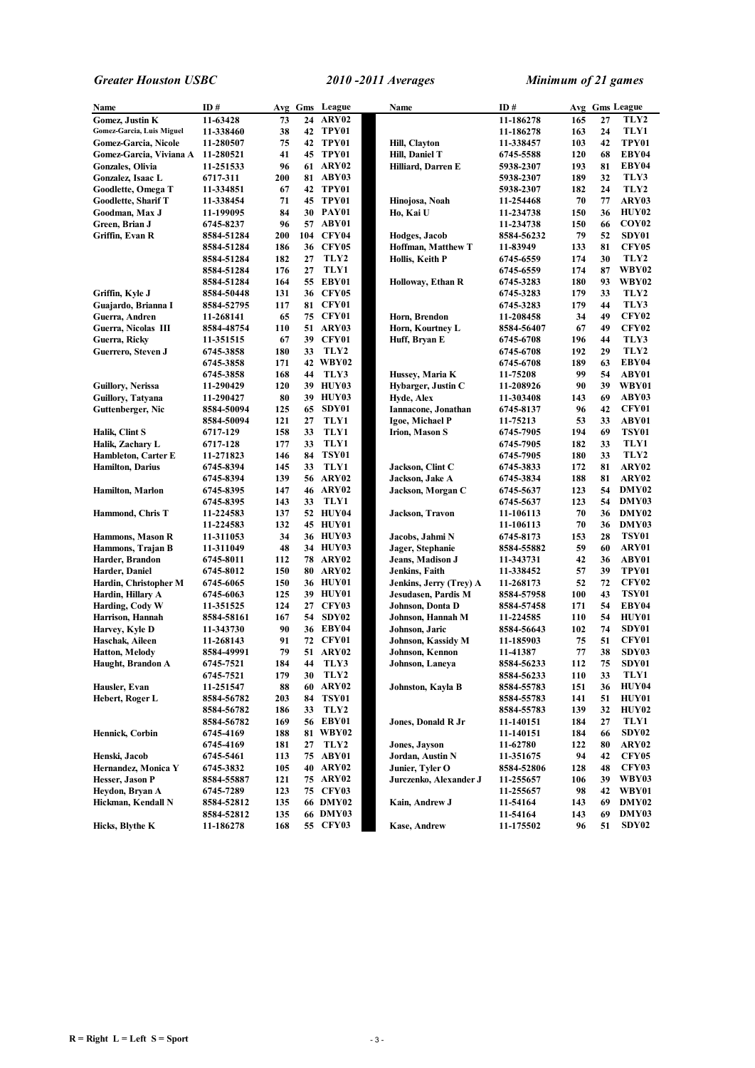| Name                       | ID#        |     |     | Avg Gms League  | Name                    | ID#        |     |    | Avg Gms League    |
|----------------------------|------------|-----|-----|-----------------|-------------------------|------------|-----|----|-------------------|
| <b>Gomez, Justin K</b>     | 11-63428   | 73  |     | 24 ARY02        |                         | 11-186278  | 165 | 27 | TLY2              |
| Gomez-Garcia, Luis Miguel  | 11-338460  | 38  |     | 42 TPY01        |                         | 11-186278  | 163 | 24 | TLY1              |
| Gomez-Garcia, Nicole       | 11-280507  | 75  |     | 42 TPY01        | <b>Hill, Clayton</b>    | 11-338457  | 103 | 42 | TPY01             |
| Gomez-Garcia, Viviana A    | 11-280521  | 41  |     | 45 TPY01        | Hill, Daniel T          | 6745-5588  | 120 | 68 | EBY04             |
| Gonzales, Olivia           | 11-251533  | 96  |     | 61 ARY02        | Hilliard, Darren E      | 5938-2307  | 193 | 81 | EBY04             |
| Gonzalez, Isaac L          | 6717-311   | 200 |     | 81 ABY03        |                         | 5938-2307  | 189 | 32 | TLY3              |
| Goodlette, Omega T         | 11-334851  | 67  |     | 42 TPY01        |                         | 5938-2307  | 182 | 24 | TLY2              |
| <b>Goodlette, Sharif T</b> | 11-338454  | 71  |     | 45 TPY01        | Hinojosa, Noah          | 11-254468  | 70  | 77 | ARY03             |
| Goodman, Max J             | 11-199095  | 84  |     | 30 PAY01        | Ho, Kai U               | 11-234738  | 150 | 36 | HUY02             |
| Green, Brian J             | 6745-8237  | 96  |     | 57 ABY01        |                         | 11-234738  | 150 | 66 | COY <sub>02</sub> |
| Griffin, Evan R            | 8584-51284 | 200 | 104 | CFY04           | Hodges, Jacob           | 8584-56232 | 79  | 52 | SDY01             |
|                            | 8584-51284 | 186 |     | 36 CFY05        | Hoffman, Matthew T      | 11-83949   | 133 | 81 | <b>CFY05</b>      |
|                            | 8584-51284 | 182 | 27  | TLY2            | Hollis, Keith P         | 6745-6559  | 174 | 30 | TLY2              |
|                            | 8584-51284 | 176 | 27  | TLY1            |                         | 6745-6559  | 174 | 87 | <b>WBY02</b>      |
|                            | 8584-51284 | 164 | 55  | EBY01           | Holloway, Ethan R       | 6745-3283  | 180 | 93 | WBY02             |
| Griffin, Kyle J            |            | 131 |     | <b>36 CFY05</b> |                         | 6745-3283  | 179 | 33 | TLY2              |
|                            | 8584-50448 |     |     | CFY01           |                         |            | 179 | 44 | TLY3              |
| Guajardo, Brianna I        | 8584-52795 | 117 | 81  |                 |                         | 6745-3283  |     | 49 |                   |
| Guerra, Andren             | 11-268141  | 65  |     | <b>75 CFY01</b> | Horn, Brendon           | 11-208458  | 34  |    | CFY <sub>02</sub> |
| Guerra, Nicolas III        | 8584-48754 | 110 | 51  | ARY03           | Horn, Kourtney L        | 8584-56407 | 67  | 49 | CFY <sub>02</sub> |
| Guerra, Ricky              | 11-351515  | 67  | 39  | CFY01           | Huff, Bryan E           | 6745-6708  | 196 | 44 | TLY3              |
| Guerrero, Steven J         | 6745-3858  | 180 | 33  | TLY2            |                         | 6745-6708  | 192 | 29 | TLY2              |
|                            | 6745-3858  | 171 |     | 42 WBY02        |                         | 6745-6708  | 189 | 63 | EBY04             |
|                            | 6745-3858  | 168 | 44  | TLY3            | Hussey, Maria K         | 11-75208   | 99  | 54 | ABY01             |
| Guillory, Nerissa          | 11-290429  | 120 |     | 39 HUY03        | Hybarger, Justin C      | 11-208926  | 90  | 39 | WBY01             |
| Guillory, Tatyana          | 11-290427  | 80  |     | 39 HUY03        | Hyde, Alex              | 11-303408  | 143 | 69 | ABY03             |
| Guttenberger, Nic          | 8584-50094 | 125 | 65  | SDY01           | Iannacone, Jonathan     | 6745-8137  | 96  | 42 | CFY01             |
|                            | 8584-50094 | 121 | 27  | TLY1            | Igoe, Michael P         | 11-75213   | 53  | 33 | ABY01             |
| Halik, Clint S             | 6717-129   | 158 | 33  | TLY1            | <b>Irion, Mason S</b>   | 6745-7905  | 194 | 69 | <b>TSY01</b>      |
| Halik, Zachary L           | 6717-128   | 177 | 33  | TLY1            |                         | 6745-7905  | 182 | 33 | TLY1              |
| <b>Hambleton, Carter E</b> | 11-271823  | 146 | 84  | TSY01           |                         | 6745-7905  | 180 | 33 | TLY2              |
| <b>Hamilton, Darius</b>    | 6745-8394  | 145 | 33  | TLY1            | Jackson, Clint C        | 6745-3833  | 172 | 81 | ARY02             |
|                            | 6745-8394  | 139 |     | 56 ARY02        | Jackson, Jake A         | 6745-3834  | 188 | 81 | ARY <sub>02</sub> |
| <b>Hamilton, Marlon</b>    | 6745-8395  | 147 |     | 46 ARY02        | Jackson, Morgan C       | 6745-5637  | 123 | 54 | DMY02             |
|                            | 6745-8395  | 143 | 33  | TLY1            |                         | 6745-5637  | 123 | 54 | DMY03             |
| Hammond, Chris T           | 11-224583  | 137 |     | 52 HUY04        | Jackson, Travon         | 11-106113  | 70  | 36 | DMY02             |
|                            | 11-224583  | 132 |     | 45 HUY01        |                         | 11-106113  | 70  | 36 | DMY03             |
| Hammons, Mason R           | 11-311053  | 34  |     | 36 HUY03        | Jacobs, Jahmi N         | 6745-8173  | 153 | 28 | <b>TSY01</b>      |
| Hammons, Trajan B          | 11-311049  | 48  |     | 34 HUY03        | Jager, Stephanie        | 8584-55882 | 59  | 60 | ARY01             |
| Harder, Brandon            | 6745-8011  | 112 |     | 78 ARY02        | Jeans, Madison J        | 11-343731  | 42  | 36 | ABY01             |
| Harder, Daniel             | 6745-8012  | 150 | 80  | ARY02           | Jenkins, Faith          | 11-338452  | 57  | 39 | TPY01             |
| Hardin, Christopher M      | 6745-6065  | 150 |     | 36 HUY01        | Jenkins, Jerry (Trey) A | 11-268173  | 52  | 72 | CFY <sub>02</sub> |
| Hardin, Hillary A          | 6745-6063  | 125 |     | 39 HUY01        | Jesudasen, Pardis M     | 8584-57958 | 100 | 43 | <b>TSY01</b>      |
| Harding, Cody W            | 11-351525  | 124 |     | 27 CFY03        | Johnson, Donta D        | 8584-57458 | 171 | 54 | EBY04             |
| Harrison, Hannah           | 8584-58161 | 167 |     | 54 SDY02        | Johnson, Hannah M       | 11-224585  | 110 | 54 | HUY01             |
| Harvey, Kyle D             | 11-343730  | 90  |     | 36 EBY04        | Johnson, Jaric          | 8584-56643 | 102 | 74 | SDY01             |
| Haschak, Aileen            | 11-268143  | 91  |     | 72 CFY01        | Johnson, Kassidy M      | 11-185903  | 75  | 51 | CFY01             |
| <b>Hatton, Melody</b>      | 8584-49991 | 79  |     | 51 ARY02        | Johnson, Kennon         | 11-41387   | 77  | 38 | SDY03             |
| Haught, Brandon A          | 6745-7521  | 184 | 44  | TLY3            | Johnson, Laneya         | 8584-56233 | 112 | 75 | SDY01             |
|                            | 6745-7521  | 179 | 30  | TLY2            |                         | 8584-56233 | 110 | 33 | TLY1              |
| Hausler, Evan              | 11-251547  | 88  | 60  | ARY02           | Johnston, Kayla B       | 8584-55783 | 151 | 36 | HUY04             |
| Hebert, Roger L            | 8584-56782 | 203 | 84  | <b>TSY01</b>    |                         | 8584-55783 | 141 | 51 | HUY01             |
|                            | 8584-56782 | 186 | 33  | TLY2            |                         | 8584-55783 | 139 | 32 | HUY02             |
|                            | 8584-56782 | 169 |     | 56 EBY01        | Jones, Donald R Jr      | 11-140151  | 184 | 27 | TLY1              |
| Hennick, Corbin            | 6745-4169  | 188 |     | 81 WBY02        |                         | 11-140151  | 184 | 66 | SDY02             |
|                            | 6745-4169  | 181 | 27  | TLY2            | Jones, Jayson           | 11-62780   | 122 | 80 | ARY02             |
| Henski, Jacob              | 6745-5461  | 113 |     | 75 ABY01        | Jordan, Austin N        | 11-351675  | 94  | 42 | <b>CFY05</b>      |
| Hernandez, Monica Y        | 6745-3832  | 105 |     | 40 ARY02        | Junier, Tyler O         | 8584-52806 | 128 | 48 | <b>CFY03</b>      |
| Hesser, Jason P            | 8584-55887 | 121 |     | 75 ARY02        | Jurczenko, Alexander J  | 11-255657  | 106 | 39 | WBY03             |
| Heydon, Bryan A            | 6745-7289  | 123 | 75  | CFY03           |                         | 11-255657  | 98  | 42 | WBY01             |
| Hickman, Kendall N         | 8584-52812 | 135 |     | 66 DMY02        | Kain, Andrew J          | 11-54164   | 143 | 69 | DMY02             |
|                            | 8584-52812 | 135 |     | 66 DMY03        |                         | 11-54164   | 143 | 69 | DMY03             |
| Hicks, Blythe K            | 11-186278  | 168 |     | 55 CFY03        | Kase, Andrew            | 11-175502  | 96  | 51 | SDY <sub>02</sub> |
|                            |            |     |     |                 |                         |            |     |    |                   |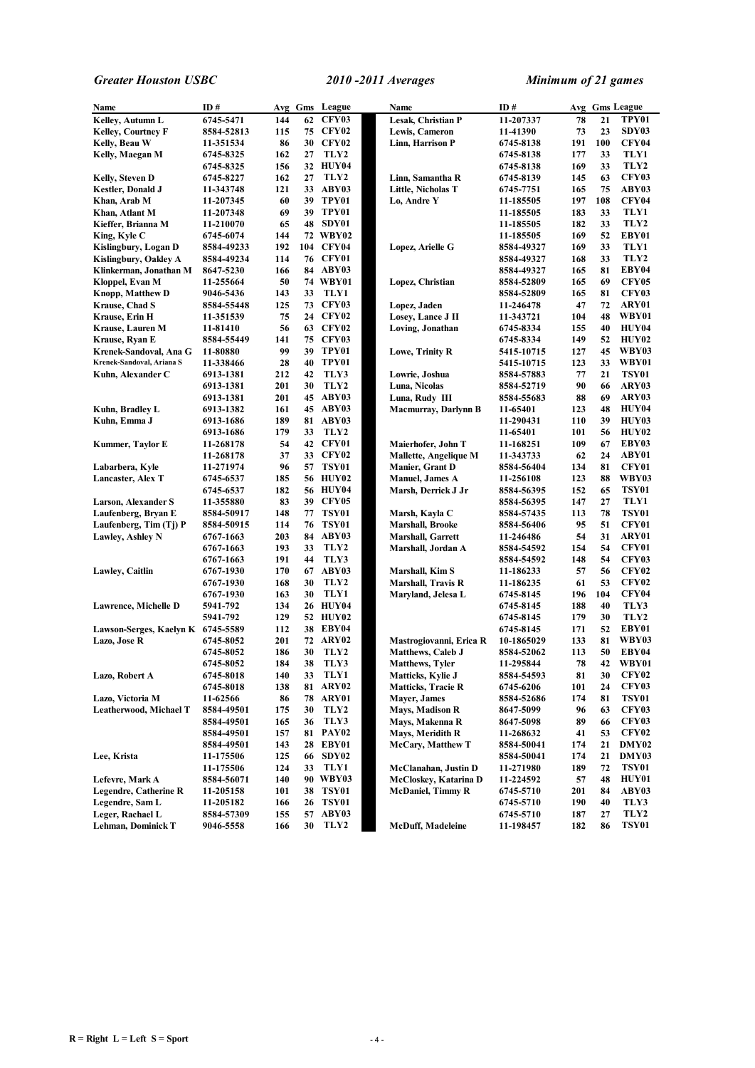| Name                              | ID#                    |           |          | Avg Gms League  | Name                         | ID#                     |           |     | Avg Gms League        |
|-----------------------------------|------------------------|-----------|----------|-----------------|------------------------------|-------------------------|-----------|-----|-----------------------|
| Kelley, Autumn L                  | 6745-5471              | 144       | 62       | CFY03           | Lesak, Christian P           | 11-207337               | 78        | 21  | TPY01                 |
| <b>Kelley, Courtney F</b>         | 8584-52813             | 115       |          | <b>75 CFY02</b> | Lewis, Cameron               | 11-41390                | 73        | 23  | SDY03                 |
| Kelly, Beau W                     | 11-351534              | 86        |          | 30 CFY02        | Linn, Harrison P             | 6745-8138               | 191       | 100 | CFY04                 |
| Kelly, Maegan M                   | 6745-8325              | 162       | 27       | TLY2            |                              | 6745-8138               | 177       | 33  | TLY1                  |
|                                   | 6745-8325              | 156       |          | 32 HUY04        |                              | 6745-8138               | 169       | 33  | TLY2                  |
| Kelly, Steven D                   | 6745-8227              | 162       | 27       | TLY2            | Linn, Samantha R             | 6745-8139               | 145       | 63  | <b>CFY03</b>          |
| Kestler, Donald J                 | 11-343748              | 121       |          | 33 ABY03        | Little, Nicholas T           | 6745-7751               | 165       | 75  | ABY03                 |
| Khan, Arab M                      | 11-207345              | 60        |          | 39 TPY01        | Lo, Andre Y                  | 11-185505               | 197       | 108 | CFY04                 |
| Khan, Atlant M                    | 11-207348              | 69        |          | 39 TPY01        |                              | 11-185505               | 183       | 33  | TLY1                  |
| Kieffer, Brianna M                | 11-210070              | 65        | 48       | SDY01           |                              | 11-185505               | 182       | 33  | TLY2                  |
| King, Kyle C                      | 6745-6074              | 144       |          | 72 WBY02        |                              | 11-185505               | 169       | 52  | EBY01                 |
| Kislingbury, Logan D              | 8584-49233             | 192       |          | 104 CFY04       | Lopez, Arielle G             | 8584-49327              | 169       | 33  | TLY1                  |
| Kislingbury, Oakley A             | 8584-49234             | 114       |          | <b>76 CFY01</b> |                              | 8584-49327              | 168       | 33  | TLY2                  |
| Klinkerman, Jonathan M            | 8647-5230              | 166       |          | 84 ABY03        |                              | 8584-49327              | 165       | 81  | EBY04                 |
| Kloppel, Evan M                   | 11-255664              | 50        |          | 74 WBY01        | Lopez, Christian             | 8584-52809              | 165       | 69  | CFY05                 |
| <b>Knopp, Matthew D</b>           | 9046-5436              | 143       | 33       | TLY1            |                              | 8584-52809              | 165       | 81  | <b>CFY03</b>          |
| Krause, Chad S                    | 8584-55448             | 125       |          | <b>73 CFY03</b> | Lopez, Jaden                 | 11-246478               | 47        | 72  | ARY01                 |
| Krause, Erin H                    | 11-351539              | 75        |          | 24 CFY02        | Losey, Lance J II            | 11-343721               | 104       | 48  | WBY01                 |
| Krause, Lauren M                  | 11-81410               | 56        |          | 63 CFY02        | Loving, Jonathan             | 6745-8334               | 155       | 40  | HUY04                 |
| Krause, Ryan E                    | 8584-55449             | 141       |          | <b>75 CFY03</b> |                              | 6745-8334               | 149       | 52  | HUY02                 |
| Krenek-Sandoval, Ana G            | 11-80880               | 99        | 39       | TPY01           | Lowe, Trinity R              | 5415-10715              | 127       | 45  | WBY03                 |
| Krenek-Sandoval, Ariana S         | 11-338466              | 28        |          | 40 TPY01        |                              | 5415-10715              | 123       | 33  | WBY01                 |
| Kuhn, Alexander C                 | 6913-1381              | 212       | 42       | TLY3            | Lowrie, Joshua               | 8584-57883              | 77        | 21  | <b>TSY01</b>          |
|                                   | 6913-1381              | 201       | 30       | TLY2            | Luna, Nicolas                | 8584-52719              | 90        | 66  | ARY03                 |
|                                   | 6913-1381              | 201       |          | 45 ABY03        | Luna, Rudy III               | 8584-55683              | 88        | 69  | ARY03                 |
| Kuhn, Bradley L                   | 6913-1382              | 161       |          | 45 ABY03        | <b>Macmurray, Darlynn B</b>  | 11-65401                | 123       | 48  | HUY04                 |
| Kuhn, Emma J                      | 6913-1686              | 189       |          | 81 ABY03        |                              | 11-290431               | 110       | 39  | HUY03                 |
|                                   | 6913-1686              | 179       | 33       | TLY2            |                              | 11-65401                | 101       | 56  | HUY02                 |
| Kummer, Taylor E                  | 11-268178              | 54        |          | 42 CFY01        | Maierhofer, John T           | 11-168251               | 109       | 67  | EBY03                 |
|                                   | 11-268178              | 37        |          | 33 CFY02        | <b>Mallette, Angelique M</b> | 11-343733               | 62        | 24  | ABY01                 |
| Labarbera, Kyle                   | 11-271974              | 96        | 57       | TSY01           | Manier, Grant D              | 8584-56404              | 134       | 81  | CFY01                 |
| <b>Lancaster, Alex T</b>          | 6745-6537              | 185       |          | 56 HUY02        | <b>Manuel</b> , James A      | 11-256108               | 123       | 88  | WBY03                 |
|                                   | 6745-6537              | 182       |          | <b>56 HUY04</b> | Marsh, Derrick J Jr          | 8584-56395              | 152       | 65  | <b>TSY01</b>          |
| Larson, Alexander S               | 11-355880              | 83        |          | 39 CFY05        |                              | 8584-56395              | 147       | 27  | TLY1                  |
| Laufenberg, Bryan E               | 8584-50917             | 148       |          | 77 TSY01        | Marsh, Kayla C               | 8584-57435              | 113       | 78  | <b>TSY01</b>          |
| Laufenberg, Tim (Tj) P            | 8584-50915             | 114       | 76       | TSY01           | <b>Marshall, Brooke</b>      | 8584-56406              | 95        | 51  | CFY01                 |
| <b>Lawley, Ashley N</b>           | 6767-1663              | 203       | 84       | ABY03           | <b>Marshall, Garrett</b>     | 11-246486               | 54        | 31  | ARY01                 |
|                                   | 6767-1663              | 193       | 33       | TLY2            |                              | 8584-54592              | 154       | 54  | CFY01                 |
|                                   |                        | 191       | 44       | TLY3            | Marshall, Jordan A           |                         | 148       | 54  | <b>CFY03</b>          |
| <b>Lawley, Caitlin</b>            | 6767-1663              | 170       |          | 67 ABY03        | Marshall, Kim S              | 8584-54592              | 57        | 56  | CFY <sub>02</sub>     |
|                                   | 6767-1930<br>6767-1930 | 168       | 30       | TLY2            | Marshall, Travis R           | 11-186233<br>11-186235  | 61        | 53  | <b>CFY02</b>          |
|                                   |                        | 163       | 30       | TLY1            |                              |                         | 196       | 104 | <b>CFY04</b>          |
| Lawrence, Michelle D              | 6767-1930<br>5941-792  | 134       |          | 26 HUY04        | Maryland, Jelesa L           | 6745-8145<br>6745-8145  | 188       | 40  | TLY3                  |
|                                   | 5941-792               | 129       |          | 52 HUY02        |                              | 6745-8145               | 179       | 30  | TLY2                  |
| Lawson-Serges, Kaelyn K 6745-5589 |                        | 112       |          | 38 EBY04        |                              | 6745-8145               | 171       | 52  | EBY01                 |
| Lazo, Jose R                      | 6745-8052              | 201       | 72       | ARY02           | Mastrogiovanni, Erica R      | 10-1865029              | 133       | 81  | WBY03                 |
|                                   | 6745-8052              | 186       | 30       | TLY2            | <b>Matthews, Caleb J</b>     | 8584-52062              | 113       | 50  | EBY04                 |
|                                   | 6745-8052              | 184       | 38       | TLY3            | <b>Matthews</b> , Tyler      | 11-295844               | 78        | 42  | WBY01                 |
| Lazo, Robert A                    |                        | 140       |          | TLY1            | Matticks, Kylie J            |                         |           | 30  | CFY02                 |
|                                   | 6745-8018<br>6745-8018 | 138       | 33<br>81 | ARY02           | <b>Matticks, Tracie R</b>    | 8584-54593<br>6745-6206 | 81<br>101 | 24  | <b>CFY03</b>          |
| Lazo, Victoria M                  | 11-62566               |           | 78       | ARY01           | <b>Mayer</b> , James         | 8584-52686              | 174       | 81  | <b>TSY01</b>          |
| Leatherwood, Michael T            | 8584-49501             | 86<br>175 | 30       | TLY2            | <b>Mays, Madison R</b>       | 8647-5099               | 96        | 63  | <b>CFY03</b>          |
|                                   |                        |           |          | TLY3            | Mays, Makenna R              |                         |           |     | <b>CFY03</b>          |
|                                   | 8584-49501             | 165       | 36       | 81 PAY02        | Mays, Meridith R             | 8647-5098               | 89        | 66  | CFY02                 |
|                                   | 8584-49501             | 157       |          |                 | <b>McCary, Matthew T</b>     | 11-268632               | 41        | 53  |                       |
|                                   | 8584-49501             | 143       |          | 28 EBY01        |                              | 8584-50041              | 174       | 21  | DMY02                 |
| Lee, Krista                       | 11-175506              | 125       | 66       | SDY02           |                              | 8584-50041              | 174       | 21  | DMY03<br><b>TSY01</b> |
|                                   | 11-175506              | 124       | 33       | TLY1            | McClanahan, Justin D         | 11-271980               | 189       | 72  |                       |
| Lefevre, Mark A                   | 8584-56071             | 140       |          | 90 WBY03        | McCloskey, Katarina D        | 11-224592               | 57        | 48  | HUY01                 |
| <b>Legendre, Catherine R</b>      | 11-205158              | 101       | 38       | <b>TSY01</b>    | <b>McDaniel, Timmy R</b>     | 6745-5710               | 201       | 84  | ABY03                 |
| Legendre, Sam L                   | 11-205182              | 166       | 26       | TSY01           |                              | 6745-5710               | 190       | 40  | TLY3                  |
| Leger, Rachael L                  | 8584-57309             | 155       |          | 57 ABY03        |                              | 6745-5710               | 187       | 27  | TLY2                  |
| Lehman, Dominick T                | 9046-5558              | 166       | 30       | TLY2            | <b>McDuff, Madeleine</b>     | 11-198457               | 182       | 86  | <b>TSY01</b>          |

 $R =$  **Right**  $L =$  **Left**  $S =$  **Sport**  $-4 -$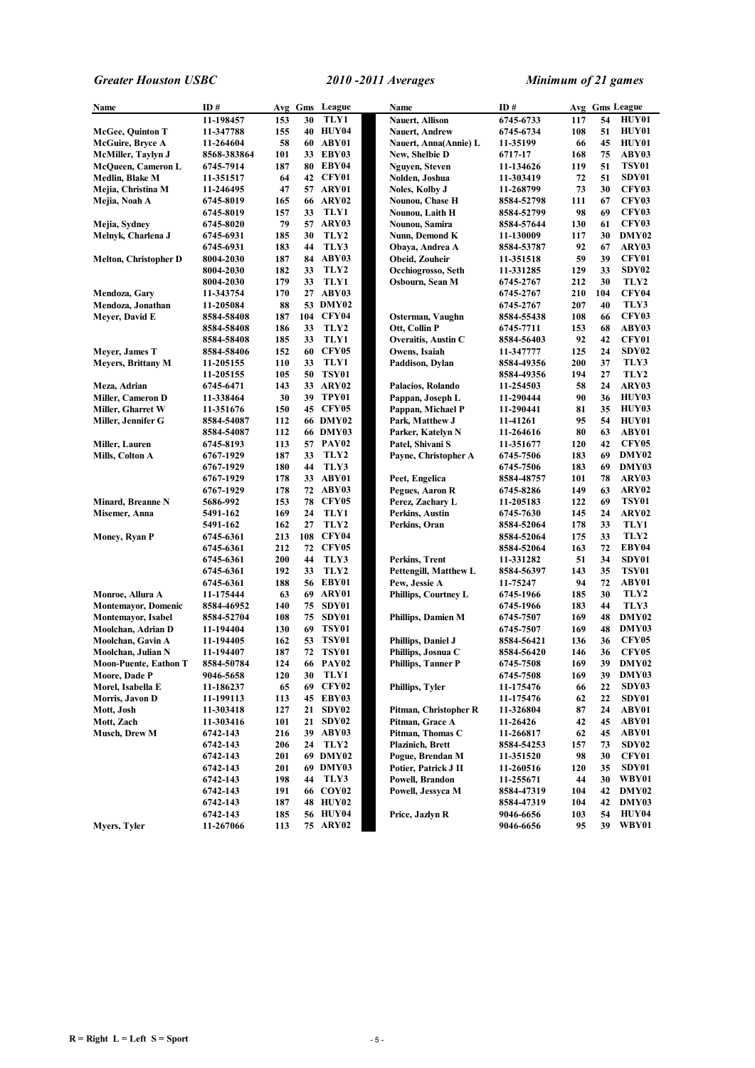| Name                                          | ID#                    |            |    | Avg Gms League    | Name                        | ID#                    |            |          | Avg Gms League               |
|-----------------------------------------------|------------------------|------------|----|-------------------|-----------------------------|------------------------|------------|----------|------------------------------|
|                                               | 11-198457              | 153        | 30 | TLY1              | Nauert, Allison             | 6745-6733              | 117        | 54       | HUY01                        |
| <b>McGee, Quinton T</b>                       | 11-347788              | 155        |    | <b>40 HUY04</b>   | <b>Nauert, Andrew</b>       | 6745-6734              | 108        | 51       | <b>HUY01</b>                 |
| McGuire, Bryce A                              | 11-264604              | 58         | 60 | ABY01             | Nauert, Anna(Annie) L       | 11-35199               | 66         | 45       | HUY01                        |
| McMiller, Taylyn J                            | 8568-383864            | 101        |    | 33 EBY03          | New, Shelbie D              | 6717-17                | 168        | 75       | ABY03                        |
| McQueen, Cameron L                            | 6745-7914              | 187        |    | 80 EBY04          | Nguyen, Steven              | 11-134626              | 119        | 51       | <b>TSY01</b>                 |
| Medlin, Blake M                               | 11-351517              | 64         |    | 42 CFY01          | Nolden, Joshua              | 11-303419              | 72         | 51       | SDY01                        |
| Mejia, Christina M                            | 11-246495              | 47         |    | 57 ARY01          | Noles, Kolby J              | 11-268799              | 73         | 30       | <b>CFY03</b>                 |
| Mejia, Noah A                                 | 6745-8019              | 165        |    | <b>66 ARY02</b>   | Nounou, Chase H             | 8584-52798             | 111        | 67       | <b>CFY03</b>                 |
|                                               | 6745-8019              | 157        | 33 | TLY1              | Nounou, Laith H             | 8584-52799             | 98         | 69       | <b>CFY03</b>                 |
| Mejia, Sydney                                 | 6745-8020              | 79         |    | 57 ARY03          | Nounou, Samira              | 8584-57644             | 130        | 61       | CFY03                        |
| Melnyk, Charlena J                            | 6745-6931              | 185        | 30 | TLY2              | Nunn. Demond K              | 11-130009              | 117        | 30       | DMY02                        |
|                                               | 6745-6931              | 183        | 44 | TLY3              | Obaya, Andrea A             | 8584-53787             | 92         | 67       | ARY03                        |
| Melton, Christopher D                         | 8004-2030              | 187        |    | 84 ABY03          | Obeid, Zouheir              | 11-351518              | 59         | 39       | CFY01                        |
|                                               | 8004-2030              | 182        | 33 | TLY2              | Occhiogrosso, Seth          | 11-331285              | 129        | 33       | SDY <sub>02</sub>            |
|                                               | 8004-2030              | 179        | 33 | TLY1              | Osbourn, Sean M             | 6745-2767              | 212        | 30       | TLY <sub>2</sub>             |
| Mendoza, Gary                                 | 11-343754              | 170        |    | 27 ABY03          |                             | 6745-2767              | 210        | 104      | <b>CFY04</b>                 |
| Mendoza, Jonathan                             | 11-205084              | 88         |    | 53 DMY02          |                             | 6745-2767              | 207        | 40       | TLY3                         |
| Meyer, David E                                | 8584-58408             | 187        |    | 104 CFY04         | Osterman, Vaughn            | 8584-55438             | 108        | 66       | <b>CFY03</b>                 |
|                                               | 8584-58408             | 186        | 33 | TLY2              | Ott, Collin P               | 6745-7711              | 153        | 68       | ABY03                        |
|                                               | 8584-58408             | 185        | 33 | TLY1              | Overaitis, Austin C         | 8584-56403             | 92         | 42       | CFY01                        |
| Meyer, James T                                | 8584-58406             | 152        | 60 | <b>CFY05</b>      | Owens, Isaiah               | 11-347777              | 125        | 24       | SDY <sub>02</sub>            |
| <b>Meyers, Brittany M</b>                     | 11-205155              | 110        | 33 | TLY1              | Paddison, Dylan             | 8584-49356             | 200        | 37       | TLY3                         |
|                                               | 11-205155              | 105        | 50 | TSY01             |                             | 8584-49356             | 194        | 27       | TLY2                         |
| Meza, Adrian                                  | 6745-6471              | 143        |    | 33 ARY02          | Palacios, Rolando           | 11-254503              | 58         | 24       | ARY03                        |
| <b>Miller, Cameron D</b>                      | 11-338464              | 30         | 39 | TPY01             | Pappan, Joseph L            | 11-290444              | 90         | 36       | HUY03                        |
| Miller, Gharret W                             | 11-351676              | 150        |    | 45 CFY05          | Pappan, Michael P           | 11-290441              | 81         | 35       | HUY03                        |
| Miller, Jennifer G                            | 8584-54087             | 112        |    | 66 DMY02          | Park, Matthew J             | 11-41261               | 95         | 54       | HUY01                        |
|                                               | 8584-54087             | 112        |    | <b>66 DMY03</b>   | Parker, Katelyn N           | 11-264616              | 80         | 63       | ABY01                        |
| Miller, Lauren                                | 6745-8193              | 113        |    | 57 PAY02          | Patel, Shivani S            | 11-351677              | 120        | 42       | CFY05                        |
| Mills, Colton A                               | 6767-1929              | 187        | 33 | TLY2              | Payne, Christopher A        | 6745-7506              | 183        | 69       | DMY02                        |
|                                               | 6767-1929              | 180        | 44 | TLY3              |                             | 6745-7506              | 183        | 69       | DMY03                        |
|                                               | 6767-1929              | 178        |    | 33 ABY01          | Peet, Engelica              | 8584-48757             | 101        | 78       | ARY03                        |
|                                               | 6767-1929              | 178        |    | 72 ABY03          | Pegues, Aaron R             | 6745-8286              | 149        | 63       | ARY02                        |
| Minard, Breanne N                             | 5686-992               | 153        | 78 | CFY05             | Perez, Zachary L            | 11-205183              | 122        | 69       | <b>TSY01</b>                 |
| Misemer, Anna                                 | 5491-162               | 169        | 24 | TLY1              | Perkins, Austin             | 6745-7630              | 145        | 24       | ARY02                        |
|                                               | 5491-162               | 162        | 27 | TLY <sub>2</sub>  | Perkins, Oran               | 8584-52064             | 178        | 33       | TLY1                         |
| Money, Ryan P                                 | 6745-6361              | 213        |    | 108 CFY04         |                             | 8584-52064             | 175        | 33       | TLY2                         |
|                                               | 6745-6361              | 212        |    | 72 CFY05          |                             | 8584-52064             | 163        | 72       | EBY04                        |
|                                               | 6745-6361              | 200        | 44 | TLY3              | Perkins, Trent              | 11-331282              | 51         | 34       | SDY01                        |
|                                               | 6745-6361              | 192        | 33 | TLY2              | Pettengill, Matthew L       | 8584-56397             | 143        | 35       | <b>TSY01</b>                 |
|                                               | 6745-6361              | 188        |    | 56 EBY01          | Pew, Jessie A               | 11-75247               | 94         | 72       | ABY01                        |
| Monroe, Allura A                              | 11-175444              | 63         | 69 | ARY01             | <b>Phillips, Courtney L</b> | 6745-1966              | 185        | 30       | TLY2                         |
| <b>Montemayor, Domenic</b>                    | 8584-46952             | 140        | 75 | SDY01             |                             | 6745-1966              | 183        | 44       | TLY3                         |
| Montemayor, Isabel                            | 8584-52704             | 108        | 75 | SDY01             | <b>Phillips, Damien M</b>   | 6745-7507              | 169        | 48       | DMY02                        |
| Moolchan, Adrian D                            | 11-194404              | 130        | 69 | TSY01             |                             | 6745-7507              | 169        | 48       | DMY03                        |
| Moolchan, Gavin A                             | 11-194405<br>11-194407 | 162<br>187 | 53 | TSY01<br>72 TSY01 | Phillips, Daniel J          | 8584-56421             | 136<br>146 | 36<br>36 | <b>CFY05</b><br><b>CFY05</b> |
| Moolchan, Julian N                            |                        |            |    |                   | Phillips, Josnua C          | 8584-56420             |            |          |                              |
| <b>Moon-Puente, Eathon T</b><br>Moore, Dade P | 8584-50784             | 124<br>120 | 30 | 66 PAY02<br>TLY1  | <b>Phillips, Tanner P</b>   | 6745-7508              | 169<br>169 | 39       | DMY02<br>DMY03               |
| Morel, Isabella E                             | 9046-5658              |            |    | CFY02             |                             | 6745-7508              |            | 39       |                              |
|                                               | 11-186237              | 65         | 69 | 45 EBY03          | Phillips, Tyler             | 11-175476              | 66         | 22<br>22 | SDY03<br>SDY01               |
| Morris, Javon D<br>Mott, Josh                 | 11-199113<br>11-303418 | 113<br>127 | 21 | SDY02             | Pitman, Christopher R       | 11-175476<br>11-326804 | 62<br>87   | 24       | ABY01                        |
| Mott, Zach                                    |                        | 101        | 21 | SDY <sub>02</sub> | Pitman, Grace A             |                        | 42         | 45       | ABY01                        |
| Musch, Drew M                                 | 11-303416<br>6742-143  | 216        |    | 39 ABY03          | Pitman, Thomas C            | 11-26426<br>11-266817  | 62         | 45       | ABY01                        |
|                                               | 6742-143               | 206        | 24 | TLY2              | <b>Plazinich</b> , Brett    | 8584-54253             | 157        | 73       | SDY <sub>02</sub>            |
|                                               | 6742-143               | 201        |    | 69 DMY02          | Pogue, Brendan M            | 11-351520              | 98         | 30       | CFY01                        |
|                                               | 6742-143               | 201        |    | 69 DMY03          | Potier, Patrick J II        | 11-260516              | 120        | 35       | SDY01                        |
|                                               | 6742-143               | 198        | 44 | TLY3              | Powell, Brandon             | 11-255671              | 44         | 30       | WBY01                        |
|                                               | 6742-143               | 191        |    | <b>66 COY02</b>   | Powell, Jessyca M           | 8584-47319             | 104        | 42       | DMY02                        |
|                                               | 6742-143               | 187        |    | <b>48 HUY02</b>   |                             | 8584-47319             | 104        | 42       | DMY03                        |
|                                               | 6742-143               | 185        |    | <b>56 HUY04</b>   | Price, Jazlyn R             | 9046-6656              | 103        | 54       | HUY04                        |
| Myers, Tyler                                  | 11-267066              | 113        |    | 75 ARY02          |                             | 9046-6656              | 95         | 39       | WBY01                        |
|                                               |                        |            |    |                   |                             |                        |            |          |                              |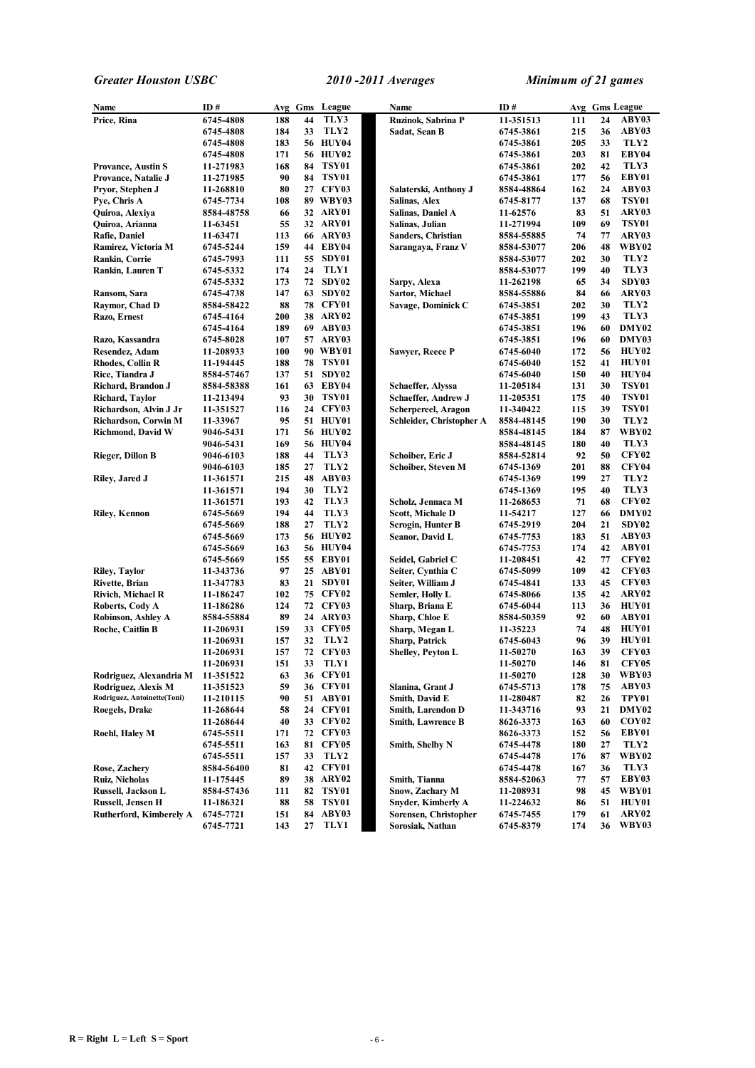| Name                                    | ID#                    |           |          | Avg Gms League       | Name                                            | ID#                    |            |          | Avg Gms League        |
|-----------------------------------------|------------------------|-----------|----------|----------------------|-------------------------------------------------|------------------------|------------|----------|-----------------------|
| Price, Rina                             | 6745-4808              | 188       | 44       | TLY3                 | Ruzinok, Sabrina P                              | 11-351513              | 111        | 24       | ABY03                 |
|                                         | 6745-4808              | 184       | 33       | TLY2                 | Sadat, Sean B                                   | 6745-3861              | 215        | 36       | ABY03                 |
|                                         | 6745-4808              | 183       |          | 56 HUY04             |                                                 | 6745-3861              | 205        | 33       | TLY2                  |
|                                         | 6745-4808              | 171       |          | 56 HUY02             |                                                 | 6745-3861              | 203        | 81       | EBY04                 |
| <b>Provance, Austin S</b>               | 11-271983              | 168       | 84       | TSY01                |                                                 | 6745-3861              | 202        | 42       | TLY3                  |
| Provance, Natalie J                     | 11-271985              | 90        |          | 84 TSY01             |                                                 | 6745-3861              | 177        | 56       | EBY01                 |
| Pryor, Stephen J                        | 11-268810              | 80        |          | 27 CFY03             | Salaterski, Anthony J                           | 8584-48864             | 162        | 24       | ABY03                 |
| Pye, Chris A                            | 6745-7734              | 108       |          | 89 WBY03             | Salinas, Alex                                   | 6745-8177              | 137        | 68       | <b>TSY01</b>          |
| Quiroa, Alexiya                         | 8584-48758             | 66        |          | 32 ARY01             | Salinas, Daniel A                               | 11-62576               | 83         | 51       | ARY03                 |
| Quiroa, Arianna                         | 11-63451               | 55        |          | 32 ARY01             | Salinas, Julian                                 | 11-271994              | 109        | 69       | <b>TSY01</b>          |
| Rafie, Daniel                           | 11-63471               | 113       |          | 66 ARY03             | Sanders, Christian                              | 8584-55885             | 74         | 77       | ARY03                 |
| Ramirez, Victoria M                     | 6745-5244              | 159       |          | 44 EBY04             | Sarangaya, Franz V                              | 8584-53077             | 206        | 48       | WBY02                 |
| Rankin, Corrie                          | 6745-7993              | 111       |          | 55 SDY01             |                                                 | 8584-53077             | 202        | 30       | TLY2                  |
| Rankin, Lauren T                        | 6745-5332              | 174       | 24       | TLY1                 |                                                 | 8584-53077             | 199        | 40       | TLY3                  |
|                                         | 6745-5332              | 173       |          | 72 SDY02             | Sarpy, Alexa                                    | 11-262198              | 65         | 34       | SDY03                 |
| Ransom, Sara                            | 6745-4738              | 147       |          | 63 SDY02             | Sartor, Michael                                 | 8584-55886             | 84         | 66       | ARY03                 |
| Raymor, Chad D                          | 8584-58422             | 88        |          | 78 CFY01             | Savage, Dominick C                              | 6745-3851              | 202        | 30       | TLY2                  |
| Razo, Ernest                            | 6745-4164              | 200       |          | <b>38 ARY02</b>      |                                                 | 6745-3851              | 199        | 43       | TLY3                  |
|                                         | 6745-4164              | 189       |          | 69 ABY03             |                                                 | 6745-3851              | 196        | 60       | DMY02                 |
| Razo, Kassandra                         | 6745-8028              | 107       |          | 57 ARY03             |                                                 | 6745-3851              | 196        | 60       | DMY03                 |
| Resendez, Adam                          | 11-208933              | 100       |          | 90 WBY01             | Sawyer, Reece P                                 | 6745-6040              | 172        | 56       | HUY02                 |
| <b>Rhodes, Collin R</b>                 | 11-194445              | 188       | 78       | TSY01                |                                                 | 6745-6040              | 152        | 41       | HUY01                 |
| Rice, Tiandra J                         | 8584-57467             | 137       |          | 51 SDY02             |                                                 | 6745-6040              | 150        | 40<br>30 | HUY04<br><b>TSY01</b> |
| Richard, Brandon J<br>Richard, Taylor   | 8584-58388             | 161<br>93 | 63       | EBY04<br>30 TSY01    | Schaeffer, Alyssa<br><b>Schaeffer, Andrew J</b> | 11-205184              | 131<br>175 | 40       | <b>TSY01</b>          |
| Richardson, Alvin J Jr                  | 11-213494<br>11-351527 | 116       |          | 24 CFY03             | Scherpereel, Aragon                             | 11-205351<br>11-340422 | 115        | 39       | <b>TSY01</b>          |
| Richardson, Corwin M                    | 11-33967               | 95        |          | 51 HUY01             | Schleider, Christopher A                        | 8584-48145             | 190        | 30       | TLY2                  |
| <b>Richmond, David W</b>                | 9046-5431              | 171       |          | 56 HUY02             |                                                 | 8584-48145             | 184        | 87       | <b>WBY02</b>          |
|                                         | 9046-5431              | 169       |          | 56 HUY04             |                                                 | 8584-48145             | 180        | 40       | TLY3                  |
| Rieger, Dillon B                        | 9046-6103              | 188       | 44       | TLY3                 | Schoiber, Eric J                                | 8584-52814             | 92         | 50       | <b>CFY02</b>          |
|                                         | 9046-6103              | 185       | 27       | TLY2                 | Schoiber, Steven M                              | 6745-1369              | 201        | 88       | <b>CFY04</b>          |
| Riley, Jared J                          | 11-361571              | 215       | 48       | ABY03                |                                                 | 6745-1369              | 199        | 27       | TLY2                  |
|                                         | 11-361571              | 194       | 30       | TLY2                 |                                                 | 6745-1369              | 195        | 40       | TLY3                  |
|                                         | 11-361571              | 193       | 42       | TLY3                 | Scholz, Jennaca M                               | 11-268653              | 71         | 68       | <b>CFY02</b>          |
| <b>Riley, Kennon</b>                    | 6745-5669              | 194       | 44       | TLY3                 | Scott, Michale D                                | 11-54217               | 127        | 66       | DMY02                 |
|                                         | 6745-5669              | 188       | 27       | TLY <sub>2</sub>     | Scrogin, Hunter B                               | 6745-2919              | 204        | 21       | SDY02                 |
|                                         | 6745-5669              | 173       |          | 56 HUY02             | <b>Seanor, David L</b>                          | 6745-7753              | 183        | 51       | ABY03                 |
|                                         | 6745-5669              | 163       |          | 56 HUY04             |                                                 | 6745-7753              | 174        | 42       | ABY01                 |
|                                         | 6745-5669              | 155       |          | 55 EBY01             | Seidel, Gabriel C                               | 11-208451              | 42         | 77       | CFY <sub>02</sub>     |
| <b>Riley, Taylor</b>                    | 11-343736              | 97        |          | 25 ABY01             | Seiter, Cynthia C                               | 6745-5099              | 109        | 42       | <b>CFY03</b>          |
| Rivette, Brian                          | 11-347783              | 83        | 21       | SDY01                | Seiter, William J                               | 6745-4841              | 133        | 45       | <b>CFY03</b>          |
| Rivich, Michael R                       | 11-186247              | 102       |          | 75 CFY02             | Semler, Holly L                                 | 6745-8066              | 135        | 42       | ARY <sub>02</sub>     |
| Roberts, Cody A                         | 11-186286              | 124       |          | 72 CFY03             | Sharp, Briana E                                 | 6745-6044              | 113        | 36       | HUY01                 |
| Robinson, Ashley A                      | 8584-55884             | 89        |          | 24 ARY03             | Sharp, Chloe E                                  | 8584-50359             | 92         | 60       | ABY01                 |
| Roche, Caitlin B                        | 11-206931              | 159       |          | 33 CFY05             | Sharp, Megan L                                  | 11-35223               | 74         | 48       | HUY01                 |
|                                         | 11-206931              | 157       | 32       | TLY2                 | Sharp, Patrick                                  | 6745-6043              | 96         | 39       | HUY01                 |
|                                         | 11-206931              | 157       |          | 72 CFY03             | <b>Shelley, Peyton L</b>                        | 11-50270               | 163        | 39       | <b>CFY03</b>          |
|                                         | 11-206931              | 151       | 33       | TLY1                 |                                                 | 11-50270               | 146        | 81       | <b>CFY05</b>          |
| Rodriguez, Alexandria M                 | 11-351522              | 63        |          | 36 CFY01             |                                                 | 11-50270               | 128        | 30       | WBY03                 |
| Rodriguez, Alexis M                     | 11-351523              | 59        |          | 36 CFY01             | Slanina, Grant J                                | 6745-5713              | 178        | 75       | ABY03                 |
| Rodriguez, Antoinette(Toni)             | 11-210115              | 90        |          | 51 ABY01             | Smith, David E                                  | 11-280487              | 82         | 26       | TPY01                 |
| Roegels, Drake                          | 11-268644              | 58        |          | 24 CFY01             | <b>Smith, Larendon D</b>                        | 11-343716              | 93         | 21       | DMY02                 |
|                                         | 11-268644              | 40        |          | 33 CFY02             | <b>Smith, Lawrence B</b>                        | 8626-3373              | 163        | 60       | COY <sub>02</sub>     |
| Roehl, Haley M                          | 6745-5511              | 171       |          | 72 CFY03             |                                                 | 8626-3373              | 152        | 56       | EBY01                 |
|                                         | 6745-5511              | 163       | 81       | <b>CFY05</b>         | Smith, Shelby N                                 | 6745-4478              | 180        | 27       | TLY2                  |
|                                         | 6745-5511              | 157       | 33       | TLY <sub>2</sub>     |                                                 | 6745-4478              | 176        | 87       | <b>WBY02</b>          |
| Rose, Zachery                           | 8584-56400             | 81        |          | 42 CFY01<br>38 ARY02 |                                                 | 6745-4478              | 167        | 36       | TLY3<br>EBY03         |
| <b>Ruiz, Nicholas</b>                   | 11-175445              | 89        |          | <b>TSY01</b>         | Smith, Tianna<br>Snow, Zachary M                | 8584-52063             | 77         | 57       | WBY01                 |
| Russell, Jackson L<br>Russell, Jensen H | 8584-57436             | 111       | 82<br>58 | TSY01                | Snyder, Kimberly A                              | 11-208931              | 98         | 45<br>51 | HUY01                 |
| Rutherford, Kimberely A                 | 11-186321<br>6745-7721 | 88<br>151 |          | 84 ABY03             | Sorensen, Christopher                           | 11-224632<br>6745-7455 | 86<br>179  | 61       | ARY02                 |
|                                         | 6745-7721              | 143       | 27       | TLY1                 | Sorosiak, Nathan                                | 6745-8379              | 174        | 36       | <b>WBY03</b>          |
|                                         |                        |           |          |                      |                                                 |                        |            |          |                       |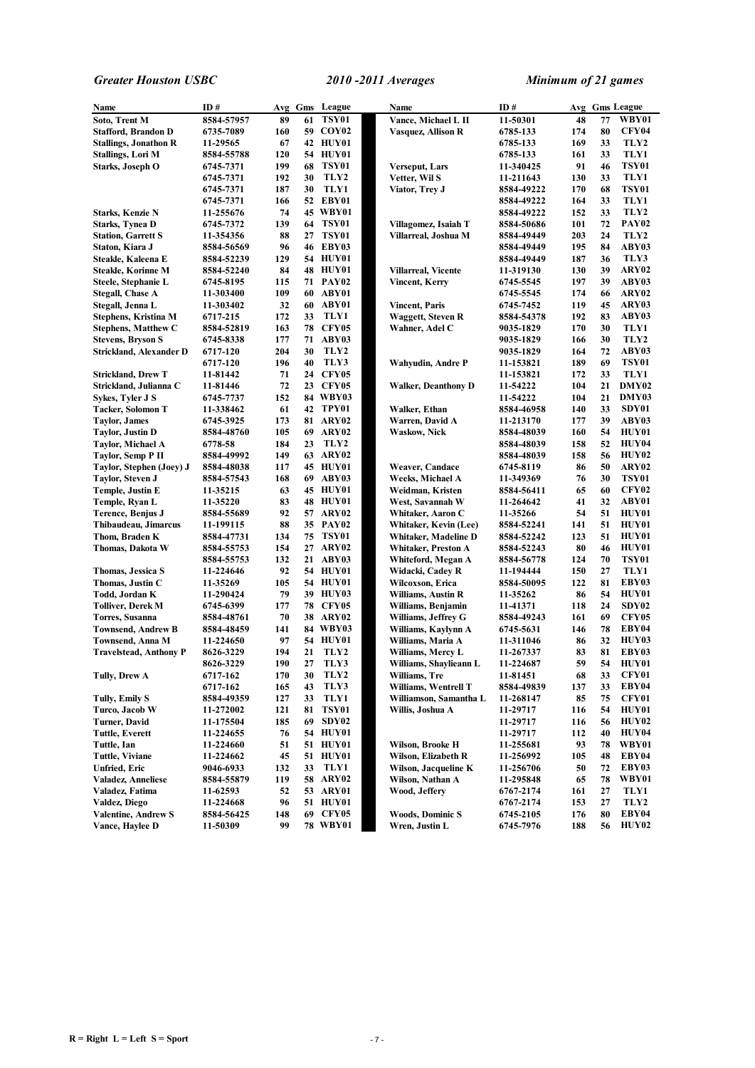| Name                                | ID#                  |          |    | Avg Gms League       | Name                                 | ID#                   |          |          | Avg Gms League               |
|-------------------------------------|----------------------|----------|----|----------------------|--------------------------------------|-----------------------|----------|----------|------------------------------|
| Soto, Trent M                       | 8584-57957           | 89       | 61 | TSY01                | Vance, Michael L II                  | 11-50301              | 48       | 77       | WBY01                        |
| <b>Stafford, Brandon D</b>          | 6735-7089            | 160      |    | 59 COY02             | Vasquez, Allison R                   | 6785-133              | 174      | 80       | CFY04                        |
| <b>Stallings, Jonathon R</b>        | 11-29565             | 67       |    | 42 HUY01             |                                      | 6785-133              | 169      | 33       | TLY2                         |
| <b>Stallings, Lori M</b>            | 8584-55788           | 120      |    | 54 HUY01             |                                      | 6785-133              | 161      | 33       | TLY1                         |
| Starks, Joseph O                    | 6745-7371            | 199      | 68 | <b>TSY01</b>         | Verseput, Lars                       | 11-340425             | 91       | 46       | TSY01                        |
|                                     | 6745-7371            | 192      | 30 | TLY2                 | Vetter, Wil S                        | 11-211643             | 130      | 33       | TLY1                         |
|                                     | 6745-7371            | 187      | 30 | TLY1                 | Viator, Trey J                       | 8584-49222            | 170      | 68       | <b>TSY01</b>                 |
|                                     | 6745-7371            | 166      |    | 52 EBY01             |                                      | 8584-49222            | 164      | 33       | TLY1                         |
| Starks, Kenzie N                    | 11-255676            | 74       |    | 45 WBY01             |                                      | 8584-49222            | 152      | 33       | TLY2                         |
| <b>Starks, Tynea D</b>              | 6745-7372            | 139      |    | 64 TSY01             | Villagomez, Isaiah T                 | 8584-50686            | 101      | 72       | <b>PAY02</b>                 |
| <b>Station, Garrett S</b>           | 11-354356            | 88       | 27 | TSY01                | Villarreal, Joshua M                 | 8584-49449            | 203      | 24       | TLY2                         |
| Staton, Kiara J                     | 8584-56569           | 96       |    | 46 EBY03             |                                      | 8584-49449            | 195      | 84       | ABY03                        |
| Steakle, Kaleena E                  | 8584-52239           | 129      |    | 54 HUY01             |                                      | 8584-49449            | 187      | 36       | TLY3                         |
| <b>Steakle, Korinne M</b>           | 8584-52240           | 84       |    | 48 HUY01             | <b>Villarreal, Vicente</b>           | 11-319130             | 130      | 39       | ARY02                        |
| Steele, Stephanie L                 | 6745-8195            | 115      |    | 71 PAY02             | Vincent, Kerry                       | 6745-5545             | 197      | 39       | ABY03                        |
| <b>Stegall, Chase A</b>             | 11-303400            | 109      |    | 60 ABY01             |                                      | 6745-5545             | 174      | 66       | ARY02                        |
| Stegall, Jenna L                    | 11-303402            | 32       |    | 60 ABY01             | Vincent, Paris                       | 6745-7452             | 119      | 45       | ARY03                        |
| Stephens, Kristina M                | 6717-215             | 172      | 33 | TLY1                 | Waggett, Steven R                    | 8584-54378            | 192      | 83       | ABY03                        |
| <b>Stephens, Matthew C</b>          | 8584-52819           | 163      |    | <b>78 CFY05</b>      | Wahner, Adel C                       | 9035-1829             | 170      | 30       | TLY1                         |
| <b>Stevens, Bryson S</b>            | 6745-8338            | 177      |    | 71 ABY03             |                                      | 9035-1829             | 166      | 30       | TLY2                         |
| Strickland, Alexander D             | 6717-120             | 204      | 30 | TLY2                 |                                      | 9035-1829             | 164      | 72       | ABY03                        |
|                                     | 6717-120             | 196      | 40 | TLY3                 | Wahyudin, Andre P                    | 11-153821             | 189      | 69       | <b>TSY01</b>                 |
| <b>Strickland, Drew T</b>           | 11-81442             | 71       |    | 24 CFY05             |                                      | 11-153821             | 172      | 33       | TLY1                         |
| Strickland, Julianna C              | 11-81446             | 72       |    | 23 CFY05             | <b>Walker, Deanthony D</b>           | 11-54222              | 104      | 21       | DMY02                        |
| Sykes, Tyler J S                    | 6745-7737            | 152      |    | 84 WBY03             |                                      | 11-54222              | 104      | 21       | DMY03                        |
| Tacker, Solomon T                   | 11-338462            | 61       |    | 42 TPY01             | Walker, Ethan                        | 8584-46958            | 140      | 33       | SDY01                        |
| <b>Taylor, James</b>                | 6745-3925            | 173      |    | 81 ARY02             | Warren, David A                      | 11-213170             | 177      | 39       | ABY03                        |
| Taylor, Justin D                    | 8584-48760           | 105      |    | 69 ARY02             | Waskow, Nick                         | 8584-48039            | 160      | 54       | HUY01                        |
| Taylor, Michael A                   | 6778-58              | 184      | 23 | TLY2                 |                                      | 8584-48039            | 158      | 52       | HUY04                        |
| Taylor, Semp P II                   | 8584-49992           | 149      |    | 63 ARY02             |                                      | 8584-48039            | 158      | 56       | <b>HUY02</b>                 |
| Taylor, Stephen (Joey) J            | 8584-48038           | 117      |    | 45 HUY01             | Weaver, Candace                      | 6745-8119             | 86       | 50       | ARY02                        |
| Taylor, Steven J                    | 8584-57543           | 168      |    | 69 ABY03<br>45 HUY01 | Weeks, Michael A                     | 11-349369             | 76<br>65 | 30<br>60 | <b>TSY01</b><br><b>CFY02</b> |
| Temple, Justin E                    | 11-35215<br>11-35220 | 63<br>83 |    | 48 HUY01             | Weidman, Kristen<br>West, Savannah W | 8584-56411            | 41       | 32       | ABY01                        |
| Temple, Ryan L<br>Terence, Benjus J | 8584-55689           | 92       |    | 57 ARY02             | Whitaker, Aaron C                    | 11-264642<br>11-35266 | 54       | 51       | HUY01                        |
| Thibaudeau, Jimarcus                | 11-199115            | 88       |    | 35 PAY02             | Whitaker, Kevin (Lee)                | 8584-52241            | 141      | 51       | HUY01                        |
| Thom, Braden K                      | 8584-47731           | 134      |    | 75 TSY01             | Whitaker, Madeline D                 | 8584-52242            | 123      | 51       | HUY01                        |
| Thomas, Dakota W                    | 8584-55753           | 154      |    | 27 ARY02             | Whitaker, Preston A                  | 8584-52243            | 80       | 46       | HUY01                        |
|                                     | 8584-55753           | 132      |    | 21 ABY03             | Whiteford, Megan A                   | 8584-56778            | 124      | 70       | <b>TSY01</b>                 |
| Thomas, Jessica S                   | 11-224646            | 92       |    | 54 HUY01             | Widacki, Cadey R                     | 11-194444             | 150      | 27       | TLY1                         |
| Thomas, Justin C                    | 11-35269             | 105      |    | 54 HUY01             | Wilcoxson, Erica                     | 8584-50095            | 122      | 81       | EBY03                        |
| Todd, Jordan K                      | 11-290424            | 79       |    | 39 HUY03             | Williams, Austin R                   | 11-35262              | 86       | 54       | HUY01                        |
| <b>Tolliver, Derek M</b>            | 6745-6399            | 177      |    | <b>78 CFY05</b>      | Williams, Benjamin                   | 11-41371              | 118      | 24       | SDY02                        |
| Torres, Susanna                     | 8584-48761           | 70       |    | <b>38 ARY02</b>      | Williams, Jeffrey G                  | 8584-49243            | 161      | 69       | <b>CFY05</b>                 |
| Townsend, Andrew B                  | 8584-48459           | 141      |    | 84 WBY03             | Williams, Kaylynn A                  | 6745-5631             | 146      | 78       | EBY04                        |
| Townsend, Anna M                    | 11-224650            | 97       |    | 54 HUY01             | Williams, Maria A                    | 11-311046             | 86       | 32       | HUY03                        |
| <b>Travelstead, Anthony P</b>       | 8626-3229            | 194      | 21 | TLY <sub>2</sub>     | Williams, Mercy L                    | 11-267337             | 83       | 81       | EBY03                        |
|                                     | 8626-3229            | 190      | 27 | TLY3                 | Williams, Shaylieann L               | 11-224687             | 59       | 54       | HUY01                        |
| Tully, Drew A                       | 6717-162             | 170      | 30 | TLY2                 | Williams, Tre                        | 11-81451              | 68       | 33       | CFY01                        |
|                                     | 6717-162             | 165      | 43 | TLY3                 | Williams, Wentrell T                 | 8584-49839            | 137      | 33       | EBY04                        |
| Tully, Emily S                      | 8584-49359           | 127      | 33 | TLY1                 | Williamson, Samantha L               | 11-268147             | 85       | 75       | CFY01                        |
| Turco, Jacob W                      | 11-272002            | 121      | 81 | <b>TSY01</b>         | Willis, Joshua A                     | 11-29717              | 116      | 54       | HUY01                        |
| Turner, David                       | 11-175504            | 185      | 69 | SDY <sub>02</sub>    |                                      | 11-29717              | 116      | 56       | HUY02                        |
| <b>Tuttle, Everett</b>              | 11-224655            | 76       |    | 54 HUY01             |                                      | 11-29717              | 112      | 40       | HUY04                        |
| Tuttle, Ian                         | 11-224660            | 51       |    | 51 HUY01             | Wilson, Brooke H                     | 11-255681             | 93       | 78       | WBY01                        |
| Tuttle, Viviane                     | 11-224662            | 45       |    | 51 HUY01             | Wilson, Elizabeth R                  | 11-256992             | 105      | 48       | EBY04                        |
| Unfried, Eric                       | 9046-6933            | 132      | 33 | TLY1                 | Wilson, Jacqueline K                 | 11-256706             | 50       | 72       | EBY03                        |
| <b>Valadez, Anneliese</b>           | 8584-55879           | 119      |    | 58 ARY02             | Wilson, Nathan A                     | 11-295848             | 65       | 78       | WBY01                        |
| Valadez, Fatima                     | 11-62593             | 52       |    | 53 ARY01             | Wood, Jeffery                        | 6767-2174             | 161      | 27       | TLY1                         |
| Valdez, Diego                       | 11-224668            | 96       |    | 51 HUY01             |                                      | 6767-2174             | 153      | 27       | TLY2                         |
| <b>Valentine, Andrew S</b>          | 8584-56425           | 148      |    | 69 CFY05             | <b>Woods, Dominic S</b>              | 6745-2105             | 176      | 80       | EBY04                        |
| Vance, Haylee D                     | 11-50309             | 99       |    | 78 WBY01             | Wren, Justin L                       | 6745-7976             | 188      | 56       | <b>HUY02</b>                 |